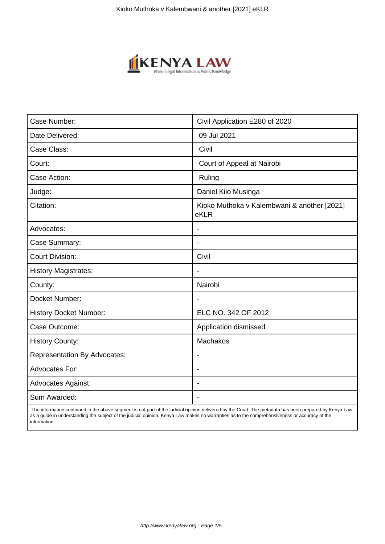

| Case Number:                        | Civil Application E280 of 2020                      |
|-------------------------------------|-----------------------------------------------------|
| Date Delivered:                     | 09 Jul 2021                                         |
| Case Class:                         | Civil                                               |
| Court:                              | Court of Appeal at Nairobi                          |
| Case Action:                        | Ruling                                              |
| Judge:                              | Daniel Kiio Musinga                                 |
| Citation:                           | Kioko Muthoka v Kalembwani & another [2021]<br>eKLR |
| Advocates:                          |                                                     |
| Case Summary:                       | $\blacksquare$                                      |
| <b>Court Division:</b>              | Civil                                               |
| <b>History Magistrates:</b>         | $\overline{\phantom{a}}$                            |
| County:                             | Nairobi                                             |
| Docket Number:                      |                                                     |
| <b>History Docket Number:</b>       | ELC NO. 342 OF 2012                                 |
| Case Outcome:                       | Application dismissed                               |
| <b>History County:</b>              | Machakos                                            |
| <b>Representation By Advocates:</b> | $\overline{\phantom{a}}$                            |
| <b>Advocates For:</b>               | $\blacksquare$                                      |
| <b>Advocates Against:</b>           | $\blacksquare$                                      |
| Sum Awarded:                        |                                                     |

 The information contained in the above segment is not part of the judicial opinion delivered by the Court. The metadata has been prepared by Kenya Law as a guide in understanding the subject of the judicial opinion. Kenya Law makes no warranties as to the comprehensiveness or accuracy of the information.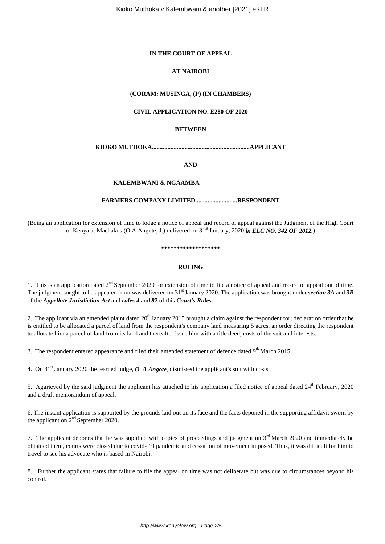### **IN THE COURT OF APPEAL**

## **AT NAIROBI**

## **(CORAM: MUSINGA, (P) (IN CHAMBERS)**

## **CIVIL APPLICATION NO. E280 OF 2020**

## **BETWEEN**

**KIOKO MUTHOKA...............................................................APPLICANT**

**AND**

## **KALEMBWANI & NGAAMBA**

#### **FARMERS COMPANY LIMITED...........................RESPONDENT**

(Being an application for extension of time to lodge a notice of appeal and record of appeal against the Judgment of the High Court of Kenya at Machakos (O.A Angote, J.) delivered on 31st January, 2020 *in ELC NO. 342 OF 2012.*)

**\*\*\*\*\*\*\*\*\*\*\*\*\*\*\*\*\*\*\***

#### **RULING**

1. This is an application dated  $2^{nd}$  September 2020 for extension of time to file a notice of appeal and record of appeal out of time. The judgment sought to be appealed from was delivered on 31<sup>st</sup> January 2020. The application was brought under *section* 3A and 3B of the *Appellate Jurisdiction Act* and *rules 4* and *82* of this *Court's Rules*.

2. The applicant via an amended plaint dated  $20<sup>th</sup>$  January 2015 brought a claim against the respondent for; declaration order that he is entitled to be allocated a parcel of land from the respondent's company land measuring 5 acres, an order directing the respondent to allocate him a parcel of land from its land and thereafter issue him with a title deed, costs of the suit and interests.

3. The respondent entered appearance and filed their amended statement of defence dated  $9<sup>th</sup>$  March 2015.

4. On 31st January 2020 the learned judge, *O. A Angote,* dismissed the applicant's suit with costs.

5. Aggrieved by the said judgment the applicant has attached to his application a filed notice of appeal dated  $24<sup>th</sup>$  February, 2020 and a draft memorandum of appeal.

6. The instant application is supported by the grounds laid out on its face and the facts deponed in the supporting affidavit sworn by the applicant on  $2<sup>nd</sup>$  September 2020.

7. The applicant depones that he was supplied with copies of proceedings and judgment on  $3<sup>rd</sup>$  March 2020 and immediately he obtained them, courts were closed due to covid- 19 pandemic and cessation of movement imposed. Thus, it was difficult for him to travel to see his advocate who is based in Nairobi.

8. Further the applicant states that failure to file the appeal on time was not deliberate but was due to circumstances beyond his control.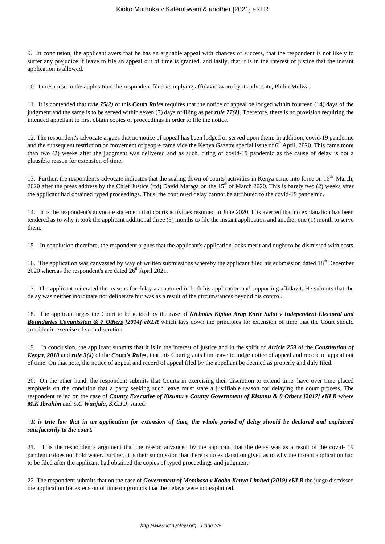#### Kioko Muthoka v Kalembwani & another [2021] eKLR

9. In conclusion, the applicant avers that he has an arguable appeal with chances of success, that the respondent is not likely to suffer any prejudice if leave to file an appeal out of time is granted, and lastly, that it is in the interest of justice that the instant application is allowed.

10. In response to the application, the respondent filed its replying affidavit sworn by its advocate, Philip Mulwa.

11. It is contended that *rule 75(2)* of this *Court Rules* requires that the notice of appeal be lodged within fourteen (14) days of the judgment and the same is to be served within seven (7) days of filing as per *rule 77(1)*. Therefore, there is no provision requiring the intended appellant to first obtain copies of proceedings in order to file the notice.

12. The respondent's advocate argues that no notice of appeal has been lodged or served upon them. In addition, covid-19 pandemic and the subsequent restriction on movement of people came vide the Kenya Gazette special issue of  $6<sup>th</sup>$  April, 2020. This came more than two (2) weeks after the judgment was delivered and as such, citing of covid-19 pandemic as the cause of delay is not a plausible reason for extension of time.

13. Further, the respondent's advocate indicates that the scaling down of courts' activities in Kenya came into force on 16<sup>th</sup> March, 2020 after the press address by the Chief Justice (rtd) David Maraga on the 15<sup>th</sup> of March 2020. This is barely two (2) weeks after the applicant had obtained typed proceedings. Thus, the continued delay cannot be attributed to the covid-19 pandemic.

14. It is the respondent's advocate statement that courts activities resumed in June 2020. It is averred that no explanation has been tendered as to why it took the applicant additional three (3) months to file the instant application and another one (1) month to serve them.

15. In conclusion therefore, the respondent argues that the applicant's application lacks merit and ought to be dismissed with costs.

16. The application was canvassed by way of written submissions whereby the applicant filed his submission dated  $18<sup>th</sup>$  December 2020 whereas the respondent's are dated  $26<sup>th</sup>$  April 2021.

17. The applicant reiterated the reasons for delay as captured in both his application and supporting affidavit. He submits that the delay was neither inordinate nor deliberate but was as a result of the circumstances beyond his control.

18. The applicant urges the Court to be guided by the case of *Nicholas Kiptoo Arap Korir Salat v Independent Electoral and Boundaries Commission & 7 Others [2014] eKLR* which lays down the principles for extension of time that the Court should consider in exercise of such discretion.

19. In conclusion, the applicant submits that it is in the interest of justice and in the spirit of *Article 259* of the *Constitution of Kenya, 2010* and *rule 3(4)* of the *Court's Rules*, that this Court grants him leave to lodge notice of appeal and record of appeal out of time. On that note, the notice of appeal and record of appeal filed by the appellant be deemed as properly and duly filed.

20. On the other hand, the respondent submits that Courts in exercising their discretion to extend time, have over time placed emphasis on the condition that a party seeking such leave must state a justifiable reason for delaying the court process. The respondent relied on the case of *County Executive of Kisumu v County Government of Kisumu & 8 Others [2017] eKLR* where *M.K Ibrahim* and S*.C Wanjala, S.C.J.J*, stated:

*"It is trite law that in an application for extension of time, the whole period of delay should be declared and explained satisfactorily to the court."*

21. It is the respondent's argument that the reason advanced by the applicant that the delay was as a result of the covid- 19 pandemic does not hold water. Further, it is their submission that there is no explanation given as to why the instant application had to be filed after the applicant had obtained the copies of typed proceedings and judgment.

22. The respondent submits that on the case of *Government of Mombasa v Kooba Kenya Limited (2019) eKLR* the judge dismissed the application for extension of time on grounds that the delays were not explained.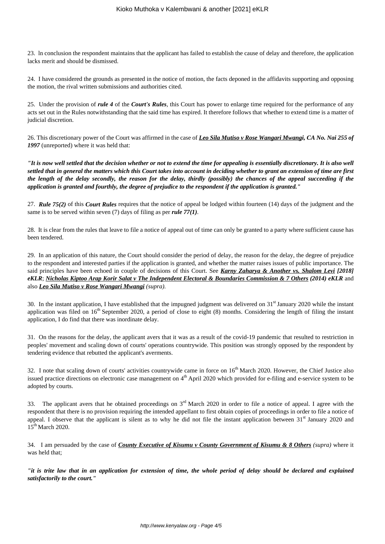23. ln conclusion the respondent maintains that the applicant has failed to establish the cause of delay and therefore, the application lacks merit and should be dismissed.

24. I have considered the grounds as presented in the notice of motion, the facts deponed in the affidavits supporting and opposing the motion, the rival written submissions and authorities cited.

25. Under the provision of *rule 4* of the *Court's Rules*, this Court has power to enlarge time required for the performance of any acts set out in the Rules notwithstanding that the said time has expired. It therefore follows that whether to extend time is a matter of judicial discretion.

26. This discretionary power of the Court was affirmed in the case of *Leo Sila Mutiso v Rose Wangari Mwangi, CA No. Nai 255 of 1997* (unreported) where it was held that:

*"It is now well settled that the decision whether or not to extend the time for appealing is essentially discretionary. It is also well settled that in general the matters which this Court takes into account in deciding whether to grant an extension of time are first the length of the delay secondly, the reason for the delay, thirdly (possibly) the chances of the appeal succeeding if the application is granted and fourthly, the degree of prejudice to the respondent if the application is granted."*

27. *Rule 75(2)* of this *Court Rules* requires that the notice of appeal be lodged within fourteen (14) days of the judgment and the same is to be served within seven (7) days of filing as per *rule 77(1)*.

28. It is clear from the rules that leave to file a notice of appeal out of time can only be granted to a party where sufficient cause has been tendered.

29. In an application of this nature, the Court should consider the period of delay, the reason for the delay, the degree of prejudice to the respondent and interested parties if the application is granted, and whether the matter raises issues of public importance. The said principles have been echoed in couple of decisions of this Court. See *Karny Zaharya & Another vs. Shalom Levi [2018] eKLR*; *Nicholas Kiptoo Arap Korir Salat v The Independent Electoral & Boundaries Commission & 7 Others (2014) eKLR* and also *Leo Sila Mutiso v Rose Wangari Mwangi (supra).*

30. In the instant application, I have established that the impugned judgment was delivered on  $31<sup>st</sup>$  January 2020 while the instant application was filed on  $16<sup>th</sup>$  September 2020, a period of close to eight (8) months. Considering the length of filing the instant application, I do find that there was inordinate delay.

31. On the reasons for the delay, the applicant avers that it was as a result of the covid-19 pandemic that resulted to restriction in peoples' movement and scaling down of courts' operations countrywide. This position was strongly opposed by the respondent by tendering evidence that rebutted the applicant's averments.

32. I note that scaling down of courts' activities countrywide came in force on  $16<sup>th</sup>$  March 2020. However, the Chief Justice also issued practice directions on electronic case management on  $4<sup>th</sup>$  April 2020 which provided for e-filing and e-service system to be adopted by courts.

33. The applicant avers that he obtained proceedings on  $3<sup>rd</sup>$  March 2020 in order to file a notice of appeal. I agree with the respondent that there is no provision requiring the intended appellant to first obtain copies of proceedings in order to file a notice of appeal. I observe that the applicant is silent as to why he did not file the instant application between 31<sup>st</sup> January 2020 and 15<sup>th</sup> March 2020.

34. I am persuaded by the case of *County Executive of Kisumu v County Government of Kisumu & 8 Others (supra)* where it was held that;

*"it is trite law that in an application for extension of time, the whole period of delay should be declared and explained satisfactorily to the court."*